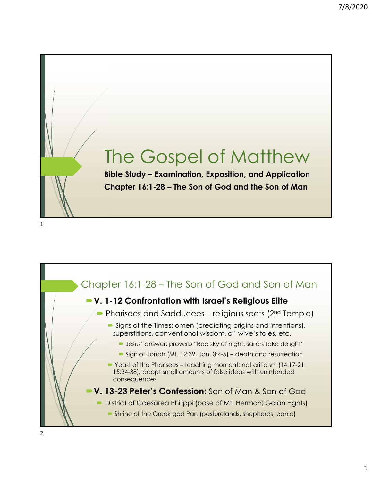